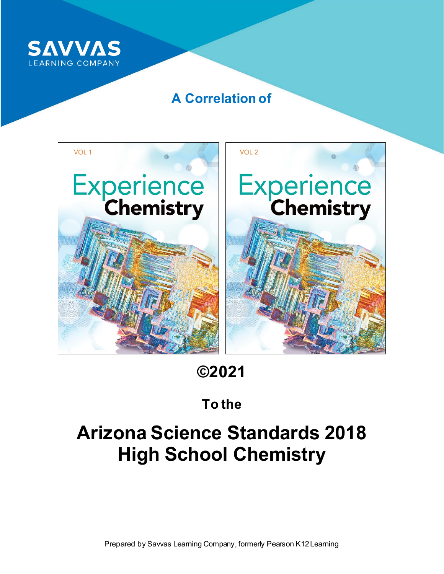

### **A Correlation of**



**©2021** 

## **To the**

# **Arizona Science Standards 2018 High School Chemistry**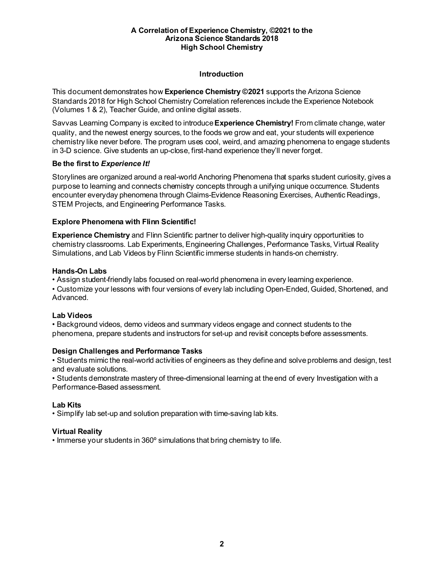#### **Introduction**

This document demonstrates how **Experience Chemistry ©2021** supports the Arizona Science Standards 2018 for High School Chemistry Correlation references include the Experience Notebook (Volumes 1 & 2), Teacher Guide, and online digital assets.

Savvas Learning Company is excited to introduce **Experience Chemistry!** From climate change, water quality, and the newest energy sources, to the foods we grow and eat, your students will experience chemistry like never before. The program uses cool, weird, and amazing phenomena to engage students in 3-D science. Give students an up-close, first-hand experience they'll never forget.

#### **Be the first to** *Experience It!*

Storylines are organized around a real-world Anchoring Phenomena that sparks student curiosity, gives a purpose to learning and connects chemistry concepts through a unifying unique occurrence. Students encounter everyday phenomena through Claims-Evidence Reasoning Exercises, Authentic Readings, STEM Projects, and Engineering Performance Tasks.

#### **Explore Phenomena with Flinn Scientific!**

**Experience Chemistry** and Flinn Scientific partner to deliver high-quality inquiry opportunities to chemistry classrooms. Lab Experiments, Engineering Challenges, Performance Tasks, Virtual Reality Simulations, and Lab Videos by Flinn Scientific immerse students in hands-on chemistry.

#### **Hands-On Labs**

• Assign student-friendly labs focused on real-world phenomena in every learning experience.

• Customize your lessons with four versions of every lab including Open-Ended, Guided, Shortened, and Advanced.

#### **Lab Videos**

• Background videos, demo videos and summary videos engage and connect students to the phenomena, prepare students and instructors for set-up and revisit concepts before assessments.

#### **Design Challenges and Performance Tasks**

• Students mimic the real-world activities of engineers as they define and solve problems and design, test and evaluate solutions.

• Students demonstrate mastery of three-dimensional learning at the end of every Investigation with a Performance-Based assessment.

#### **Lab Kits**

• Simplify lab set-up and solution preparation with time-saving lab kits.

#### **Virtual Reality**

• Immerse your students in 360º simulations that bring chemistry to life.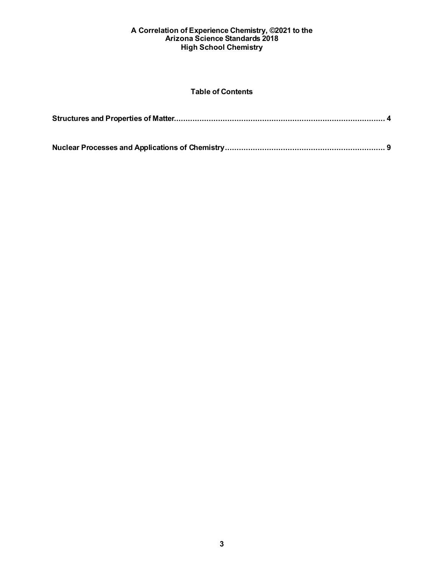#### **Table of Contents**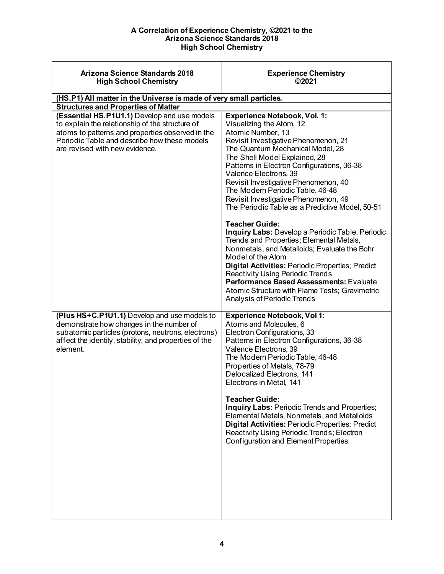<span id="page-3-0"></span>

| Arizona Science Standards 2018<br><b>High School Chemistry</b>                                                                                                                                                                        | <b>Experience Chemistry</b><br>©2021                                                                                                                                                                                                                                                                                                                                                                                                                                                                                                                                     |
|---------------------------------------------------------------------------------------------------------------------------------------------------------------------------------------------------------------------------------------|--------------------------------------------------------------------------------------------------------------------------------------------------------------------------------------------------------------------------------------------------------------------------------------------------------------------------------------------------------------------------------------------------------------------------------------------------------------------------------------------------------------------------------------------------------------------------|
| (HS.P1) All matter in the Universe is made of very small particles.                                                                                                                                                                   |                                                                                                                                                                                                                                                                                                                                                                                                                                                                                                                                                                          |
| <b>Structures and Properties of Matter</b>                                                                                                                                                                                            |                                                                                                                                                                                                                                                                                                                                                                                                                                                                                                                                                                          |
| (Essential HS.P1U1.1) Develop and use models<br>to explain the relationship of the structure of<br>atoms to patterns and properties observed in the<br>Periodic Table and describe how these models<br>are revised with new evidence. | <b>Experience Notebook, Vol. 1:</b><br>Visualizing the Atom, 12<br>Atomic Number, 13<br>Revisit Investigative Phenomenon, 21<br>The Quantum Mechanical Model, 28<br>The Shell Model Explained, 28<br>Patterns in Electron Configurations, 36-38<br>Valence Electrons, 39<br>Revisit Investigative Phenomenon, 40<br>The Modern Periodic Table, 46-48<br>Revisit Investigative Phenomenon, 49<br>The Periodic Table as a Predictive Model, 50-51                                                                                                                          |
|                                                                                                                                                                                                                                       | <b>Teacher Guide:</b><br><b>Inquiry Labs: Develop a Periodic Table, Periodic</b><br>Trends and Properties; Elemental Metals,<br>Nonmetals, and Metalloids; Evaluate the Bohr<br>Model of the Atom<br>Digital Activities: Periodic Properties; Predict<br><b>Reactivity Using Periodic Trends</b><br><b>Performance Based Assessments: Evaluate</b><br>Atomic Structure with Flame Tests; Gravimetric<br>Analysis of Periodic Trends                                                                                                                                      |
| (Plus HS+C.P1U1.1) Develop and use models to<br>demonstrate how changes in the number of<br>subatomic particles (protons, neutrons, electrons)<br>affect the identity, stability, and properties of the<br>element.                   | <b>Experience Notebook, Vol 1:</b><br>Atoms and Molecules, 6<br>Electron Configurations, 33<br>Patterns in Electron Configurations, 36-38<br>Valence Electrons, 39<br>The Modern Periodic Table, 46-48<br>Properties of Metals, 78-79<br>Delocalized Electrons, 141<br>Electrons in Metal, 141<br><b>Teacher Guide:</b><br>Inquiry Labs: Periodic Trends and Properties;<br>Elemental Metals, Nonmetals, and Metalloids<br>Digital Activities: Periodic Properties; Predict<br>Reactivity Using Periodic Trends; Electron<br><b>Configuration and Element Properties</b> |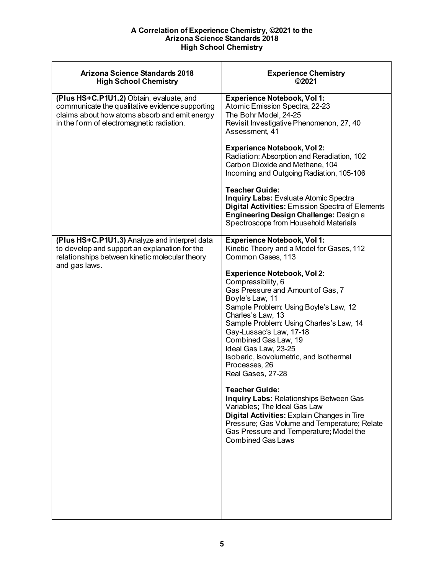| Arizona Science Standards 2018<br><b>High School Chemistry</b>                                                                                                                            | <b>Experience Chemistry</b><br>©2021                                                                                                                                                                                                                                                                                                                                                                                                                                                                                                                                                                                                                                                                                                                                    |
|-------------------------------------------------------------------------------------------------------------------------------------------------------------------------------------------|-------------------------------------------------------------------------------------------------------------------------------------------------------------------------------------------------------------------------------------------------------------------------------------------------------------------------------------------------------------------------------------------------------------------------------------------------------------------------------------------------------------------------------------------------------------------------------------------------------------------------------------------------------------------------------------------------------------------------------------------------------------------------|
| (Plus HS+C.P1U1.2) Obtain, evaluate, and<br>communicate the qualitative evidence supporting<br>claims about how atoms absorb and emit energy<br>in the form of electromagnetic radiation. | <b>Experience Notebook, Vol 1:</b><br>Atomic Emission Spectra, 22-23<br>The Bohr Model, 24-25<br>Revisit Investigative Phenomenon, 27, 40<br>Assessment, 41                                                                                                                                                                                                                                                                                                                                                                                                                                                                                                                                                                                                             |
|                                                                                                                                                                                           | <b>Experience Notebook, Vol 2:</b><br>Radiation: Absorption and Reradiation, 102<br>Carbon Dioxide and Methane, 104<br>Incoming and Outgoing Radiation, 105-106                                                                                                                                                                                                                                                                                                                                                                                                                                                                                                                                                                                                         |
|                                                                                                                                                                                           | <b>Teacher Guide:</b><br><b>Inquiry Labs: Evaluate Atomic Spectra</b><br><b>Digital Activities: Emission Spectra of Elements</b><br><b>Engineering Design Challenge: Design a</b><br>Spectroscope from Household Materials                                                                                                                                                                                                                                                                                                                                                                                                                                                                                                                                              |
| (Plus HS+C.P1U1.3) Analyze and interpret data<br>to develop and support an explanation for the<br>relationships between kinetic molecular theory<br>and gas laws.                         | <b>Experience Notebook, Vol 1:</b><br>Kinetic Theory and a Model for Gases, 112<br>Common Gases, 113<br><b>Experience Notebook, Vol 2:</b><br>Compressibility, 6<br>Gas Pressure and Amount of Gas, 7<br>Boyle's Law, 11<br>Sample Problem: Using Boyle's Law, 12<br>Charles's Law, 13<br>Sample Problem: Using Charles's Law, 14<br>Gay-Lussac's Law, 17-18<br>Combined Gas Law, 19<br>Ideal Gas Law, 23-25<br>Isobaric, Isovolumetric, and Isothermal<br>Processes, 26<br>Real Gases, 27-28<br><b>Teacher Guide:</b><br>Inquiry Labs: Relationships Between Gas<br>Variables; The Ideal Gas Law<br>Digital Activities: Explain Changes in Tire<br>Pressure; Gas Volume and Temperature; Relate<br>Gas Pressure and Temperature; Model the<br><b>Combined Gas Laws</b> |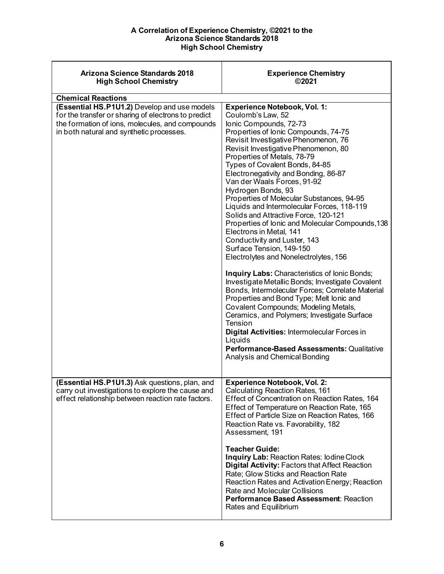| Arizona Science Standards 2018<br><b>High School Chemistry</b>                                                                                                                                     | <b>Experience Chemistry</b><br>©2021                                                                                                                                                                                                                                                                                                                                                                                                                                                                                                                                                                                                                                                                                                                                                                                                                                                                                                                                                                                                                                                                                                                           |
|----------------------------------------------------------------------------------------------------------------------------------------------------------------------------------------------------|----------------------------------------------------------------------------------------------------------------------------------------------------------------------------------------------------------------------------------------------------------------------------------------------------------------------------------------------------------------------------------------------------------------------------------------------------------------------------------------------------------------------------------------------------------------------------------------------------------------------------------------------------------------------------------------------------------------------------------------------------------------------------------------------------------------------------------------------------------------------------------------------------------------------------------------------------------------------------------------------------------------------------------------------------------------------------------------------------------------------------------------------------------------|
| <b>Chemical Reactions</b>                                                                                                                                                                          |                                                                                                                                                                                                                                                                                                                                                                                                                                                                                                                                                                                                                                                                                                                                                                                                                                                                                                                                                                                                                                                                                                                                                                |
| (Essential HS.P1U1.2) Develop and use models<br>for the transfer or sharing of electrons to predict<br>the formation of ions, molecules, and compounds<br>in both natural and synthetic processes. | <b>Experience Notebook, Vol. 1:</b><br>Coulomb's Law, 52<br>lonic Compounds, 72-73<br>Properties of Ionic Compounds, 74-75<br>Revisit Investigative Phenomenon, 76<br>Revisit Investigative Phenomenon, 80<br>Properties of Metals, 78-79<br>Types of Covalent Bonds, 84-85<br>Electronegativity and Bonding, 86-87<br>Van der Waals Forces, 91-92<br>Hydrogen Bonds, 93<br>Properties of Molecular Substances, 94-95<br>Liquids and Intermolecular Forces, 118-119<br>Solids and Attractive Force, 120-121<br>Properties of Ionic and Molecular Compounds, 138<br>Electrons in Metal, 141<br>Conductivity and Luster, 143<br>Surface Tension, 149-150<br>Electrolytes and Nonelectrolytes, 156<br><b>Inquiry Labs: Characteristics of lonic Bonds;</b><br>Investigate Metallic Bonds; Investigate Covalent<br>Bonds, Intermolecular Forces; Correlate Material<br>Properties and Bond Type; Melt Ionic and<br>Covalent Compounds; Modeling Metals,<br>Ceramics, and Polymers; Investigate Surface<br>Tension<br>Digital Activities: Intermolecular Forces in<br>Liquids<br><b>Performance-Based Assessments: Qualitative</b><br>Analysis and Chemical Bonding |
| (Essential HS.P1U1.3) Ask questions, plan, and<br>carry out investigations to explore the cause and<br>effect relationship between reaction rate factors.                                          | <b>Experience Notebook, Vol. 2:</b><br>Calculating Reaction Rates, 161<br>Effect of Concentration on Reaction Rates, 164<br>Effect of Temperature on Reaction Rate, 165<br>Effect of Particle Size on Reaction Rates, 166<br>Reaction Rate vs. Favorability, 182<br>Assessment, 191<br><b>Teacher Guide:</b><br><b>Inquiry Lab: Reaction Rates: lodine Clock</b><br><b>Digital Activity: Factors that Affect Reaction</b><br>Rate; Glow Sticks and Reaction Rate<br>Reaction Rates and Activation Energy; Reaction<br>Rate and Molecular Collisions<br>Performance Based Assessment: Reaction<br>Rates and Equilibrium                                                                                                                                                                                                                                                                                                                                                                                                                                                                                                                                         |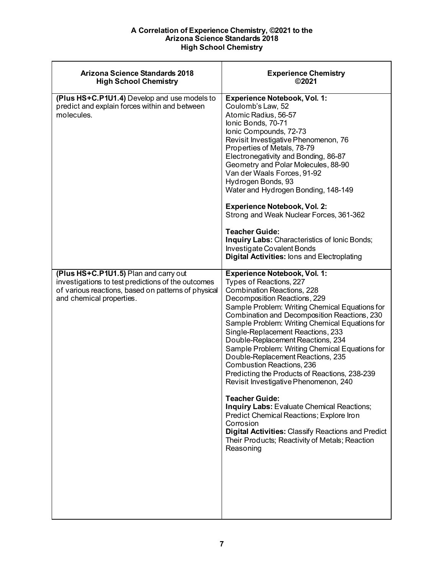| <b>Arizona Science Standards 2018</b><br><b>High School Chemistry</b>                                                                                                          | <b>Experience Chemistry</b><br>©2021                                                                                                                                                                                                                                                                                                                                                                                                                                                                                                                                                                                                                                                                                                                                                                                                 |
|--------------------------------------------------------------------------------------------------------------------------------------------------------------------------------|--------------------------------------------------------------------------------------------------------------------------------------------------------------------------------------------------------------------------------------------------------------------------------------------------------------------------------------------------------------------------------------------------------------------------------------------------------------------------------------------------------------------------------------------------------------------------------------------------------------------------------------------------------------------------------------------------------------------------------------------------------------------------------------------------------------------------------------|
| (Plus HS+C.P1U1.4) Develop and use models to<br>predict and explain forces within and between<br>molecules                                                                     | <b>Experience Notebook, Vol. 1:</b><br>Coulomb's Law, 52<br>Atomic Radius, 56-57<br>Ionic Bonds, 70-71<br>Ionic Compounds, 72-73<br>Revisit Investigative Phenomenon, 76<br>Properties of Metals, 78-79<br>Electronegativity and Bonding, 86-87<br>Geometry and Polar Molecules, 88-90<br>Van der Waals Forces, 91-92<br>Hydrogen Bonds, 93<br>Water and Hydrogen Bonding, 148-149<br><b>Experience Notebook, Vol. 2:</b><br>Strong and Weak Nuclear Forces, 361-362<br><b>Teacher Guide:</b><br>Inquiry Labs: Characteristics of Ionic Bonds;<br>Investigate Covalent Bonds<br><b>Digital Activities: lons and Electroplating</b>                                                                                                                                                                                                   |
| (Plus HS+C.P1U1.5) Plan and carry out<br>investigations to test predictions of the outcomes<br>of various reactions, based on patterns of physical<br>and chemical properties. | <b>Experience Notebook, Vol. 1:</b><br>Types of Reactions, 227<br>Combination Reactions, 228<br>Decomposition Reactions, 229<br>Sample Problem: Writing Chemical Equations for<br>Combination and Decomposition Reactions, 230<br>Sample Problem: Writing Chemical Equations for<br>Single-Replacement Reactions, 233<br>Double-Replacement Reactions, 234<br>Sample Problem: Writing Chemical Equations for<br>Double-Replacement Reactions, 235<br>Combustion Reactions, 236<br>Predicting the Products of Reactions, 238-239<br>Revisit Investigative Phenomenon, 240<br><b>Teacher Guide:</b><br>Inquiry Labs: Evaluate Chemical Reactions;<br>Predict Chemical Reactions; Explore Iron<br>Corrosion<br><b>Digital Activities: Classify Reactions and Predict</b><br>Their Products; Reactivity of Metals; Reaction<br>Reasoning |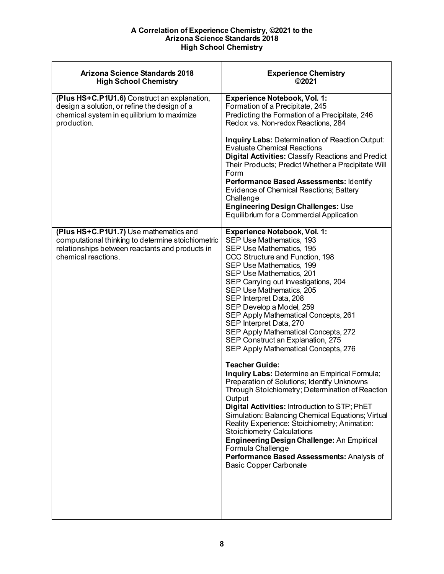| <b>Experience Chemistry</b><br>©2021                                                                                                                                                                                                                                                                                                                                                                                                                                                                                                                                                                                                                                                                                                                                                                                                                                                                                                                                                                                                                  |
|-------------------------------------------------------------------------------------------------------------------------------------------------------------------------------------------------------------------------------------------------------------------------------------------------------------------------------------------------------------------------------------------------------------------------------------------------------------------------------------------------------------------------------------------------------------------------------------------------------------------------------------------------------------------------------------------------------------------------------------------------------------------------------------------------------------------------------------------------------------------------------------------------------------------------------------------------------------------------------------------------------------------------------------------------------|
| <b>Experience Notebook, Vol. 1:</b><br>Formation of a Precipitate, 245<br>Predicting the Formation of a Precipitate, 246<br>Redox vs. Non-redox Reactions, 284<br><b>Inquiry Labs: Determination of Reaction Output:</b><br><b>Evaluate Chemical Reactions</b><br><b>Digital Activities: Classify Reactions and Predict</b><br>Their Products; Predict Whether a Precipitate Will<br>Form<br>Performance Based Assessments: Identify<br>Evidence of Chemical Reactions; Battery<br>Challenge<br>Engineering Design Challenges: Use                                                                                                                                                                                                                                                                                                                                                                                                                                                                                                                    |
| Equilibrium for a Commercial Application                                                                                                                                                                                                                                                                                                                                                                                                                                                                                                                                                                                                                                                                                                                                                                                                                                                                                                                                                                                                              |
| <b>Experience Notebook, Vol. 1:</b><br>SEP Use Mathematics, 193<br>SEP Use Mathematics, 195<br>CCC Structure and Function, 198<br>SEP Use Mathematics, 199<br>SEP Use Mathematics, 201<br>SEP Carrying out Investigations, 204<br>SEP Use Mathematics, 205<br>SEP Interpret Data, 208<br>SEP Develop a Model, 259<br>SEP Apply Mathematical Concepts, 261<br>SEP Interpret Data, 270<br>SEP Apply Mathematical Concepts, 272<br>SEP Construct an Explanation, 275<br>SEP Apply Mathematical Concepts, 276<br><b>Teacher Guide:</b><br>Inquiry Labs: Determine an Empirical Formula;<br>Preparation of Solutions; Identify Unknowns<br>Through Stoichiometry; Determination of Reaction<br>Output<br>Digital Activities: Introduction to STP; PhET<br>Simulation: Balancing Chemical Equations; Virtual<br>Reality Experience: Stoichiometry; Animation:<br><b>Stoichiometry Calculations</b><br><b>Engineering Design Challenge: An Empirical</b><br>Formula Challenge<br>Performance Based Assessments: Analysis of<br><b>Basic Copper Carbonate</b> |
|                                                                                                                                                                                                                                                                                                                                                                                                                                                                                                                                                                                                                                                                                                                                                                                                                                                                                                                                                                                                                                                       |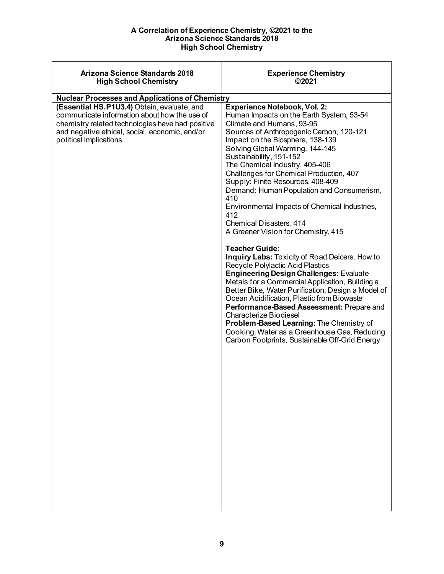<span id="page-8-0"></span>

| <b>Arizona Science Standards 2018</b><br><b>High School Chemistry</b>                                                                                                                                                        | <b>Experience Chemistry</b><br>©2021                                                                                                                                                                                                                                                                                                                                                                                                                                                                                                                                                                                                                                                                                                                                                                                                                                                                                                                                                                                                                                                                                  |
|------------------------------------------------------------------------------------------------------------------------------------------------------------------------------------------------------------------------------|-----------------------------------------------------------------------------------------------------------------------------------------------------------------------------------------------------------------------------------------------------------------------------------------------------------------------------------------------------------------------------------------------------------------------------------------------------------------------------------------------------------------------------------------------------------------------------------------------------------------------------------------------------------------------------------------------------------------------------------------------------------------------------------------------------------------------------------------------------------------------------------------------------------------------------------------------------------------------------------------------------------------------------------------------------------------------------------------------------------------------|
| <b>Nuclear Processes and Applications of Chemistry</b>                                                                                                                                                                       |                                                                                                                                                                                                                                                                                                                                                                                                                                                                                                                                                                                                                                                                                                                                                                                                                                                                                                                                                                                                                                                                                                                       |
| (Essential HS.P1U3.4) Obtain, evaluate, and<br>communicate information about how the use of<br>chemistry related technologies have had positive<br>and negative ethical, social, economic, and/or<br>political implications. | <b>Experience Notebook, Vol. 2:</b><br>Human Impacts on the Earth System, 53-54<br>Climate and Humans, 93-95<br>Sources of Anthropogenic Carbon, 120-121<br>Impact on the Biosphere, 138-139<br>Solving Global Warming, 144-145<br>Sustainability, 151-152<br>The Chemical Industry, 405-406<br>Challenges for Chemical Production, 407<br>Supply: Finite Resources, 408-409<br>Demand: Human Population and Consumerism,<br>410<br>Environmental Impacts of Chemical Industries,<br>412<br>Chemical Disasters, 414<br>A Greener Vision for Chemistry, 415<br><b>Teacher Guide:</b><br><b>Inquiry Labs: Toxicity of Road Deicers, How to</b><br>Recycle Polylactic Acid Plastics<br><b>Engineering Design Challenges: Evaluate</b><br>Metals for a Commercial Application, Building a<br>Better Bike, Water Purification, Design a Model of<br>Ocean Acidification, Plastic from Biowaste<br>Performance-Based Assessment: Prepare and<br><b>Characterize Biodiesel</b><br>Problem-Based Learning: The Chemistry of<br>Cooking, Water as a Greenhouse Gas, Reducing<br>Carbon Footprints, Sustainable Off-Grid Energy |